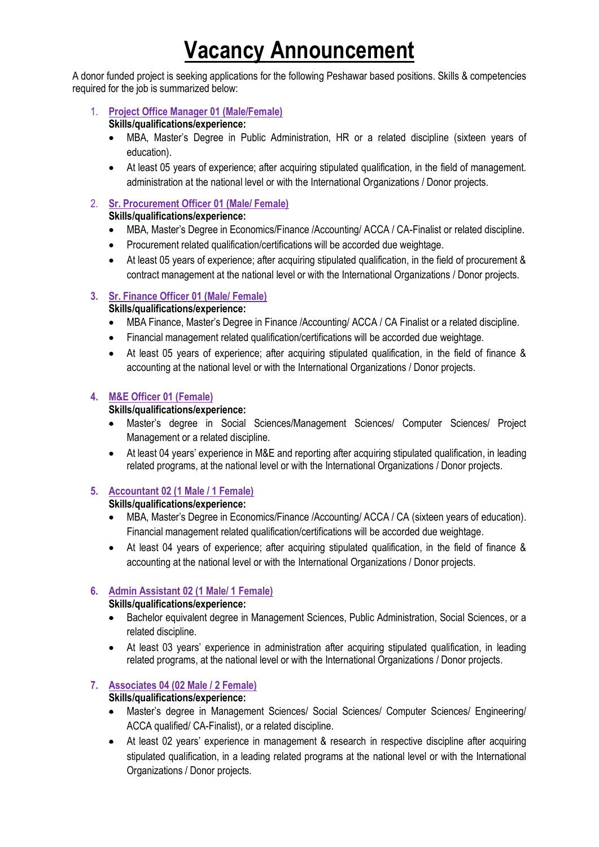# **Vacancy Announcement**

A donor funded project is seeking applications for the following Peshawar based positions. Skills & competencies required for the job is summarized below:

# 1. **Project Office Manager 01 (Male/Female)**

#### **Skills/qualifications/experience:**

- MBA, Master's Degree in Public Administration, HR or a related discipline (sixteen years of education).
- At least 05 years of experience; after acquiring stipulated qualification, in the field of management. administration at the national level or with the International Organizations / Donor projects.

# 2. **Sr. Procurement Officer 01 (Male/ Female)**

#### **Skills/qualifications/experience:**

- MBA, Master's Degree in Economics/Finance /Accounting/ ACCA / CA-Finalist or related discipline.
- Procurement related qualification/certifications will be accorded due weightage.
- At least 05 years of experience; after acquiring stipulated qualification, in the field of procurement & contract management at the national level or with the International Organizations / Donor projects.

# **3. Sr. Finance Officer 01 (Male/ Female)**

# **Skills/qualifications/experience:**

- MBA Finance, Master's Degree in Finance /Accounting/ ACCA / CA Finalist or a related discipline.
- Financial management related qualification/certifications will be accorded due weightage.
- At least 05 years of experience; after acquiring stipulated qualification, in the field of finance & accounting at the national level or with the International Organizations / Donor projects.

# **4. M&E Officer 01 (Female)**

#### **Skills/qualifications/experience:**

- Master's degree in Social Sciences/Management Sciences/ Computer Sciences/ Project Management or a related discipline.
- At least 04 years' experience in M&E and reporting after acquiring stipulated qualification, in leading related programs, at the national level or with the International Organizations / Donor projects.

# **5. Accountant 02 (1 Male / 1 Female)**

#### **Skills/qualifications/experience:**

- MBA, Master's Degree in Economics/Finance /Accounting/ ACCA / CA (sixteen years of education). Financial management related qualification/certifications will be accorded due weightage.
- At least 04 years of experience; after acquiring stipulated qualification, in the field of finance & accounting at the national level or with the International Organizations / Donor projects.

#### **6. Admin Assistant 02 (1 Male/ 1 Female)**

#### **Skills/qualifications/experience:**

- Bachelor equivalent degree in Management Sciences, Public Administration, Social Sciences, or a related discipline.
- At least 03 years' experience in administration after acquiring stipulated qualification, in leading related programs, at the national level or with the International Organizations / Donor projects.

# **7. Associates 04 (02 Male / 2 Female)**

# **Skills/qualifications/experience:**

- Master's degree in Management Sciences/ Social Sciences/ Computer Sciences/ Engineering/ ACCA qualified/ CA-Finalist), or a related discipline.
- At least 02 years' experience in management & research in respective discipline after acquiring stipulated qualification, in a leading related programs at the national level or with the International Organizations / Donor projects.